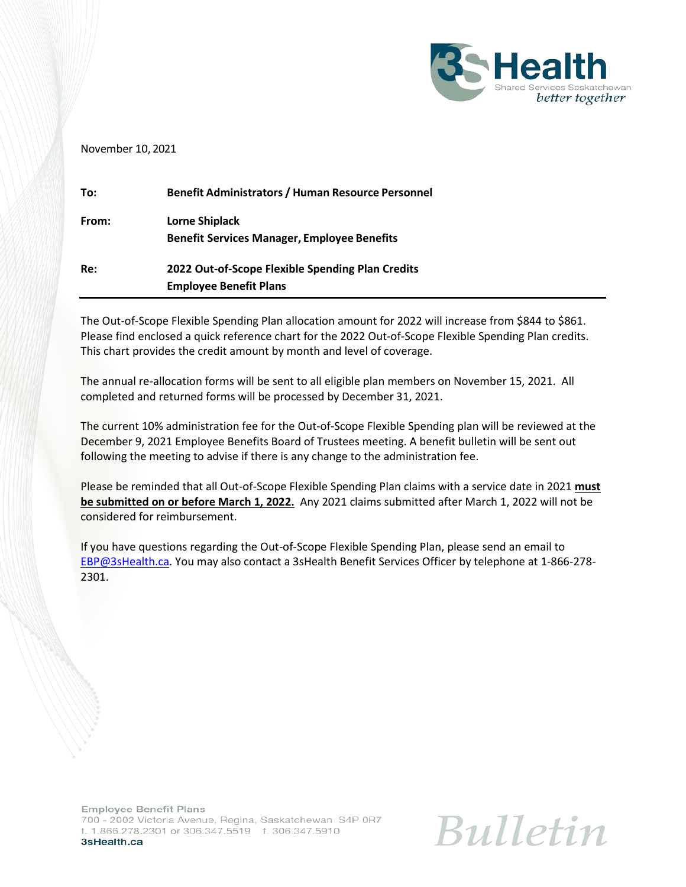

#### November 10, 2021

| To:   | <b>Benefit Administrators / Human Resource Personnel</b> |
|-------|----------------------------------------------------------|
| From: | <b>Lorne Shiplack</b>                                    |
|       | <b>Benefit Services Manager, Employee Benefits</b>       |
| Re:   | 2022 Out-of-Scope Flexible Spending Plan Credits         |
|       | <b>Employee Benefit Plans</b>                            |

The Out-of-Scope Flexible Spending Plan allocation amount for 2022 will increase from \$844 to \$861. Please find enclosed a quick reference chart for the 2022 Out-of-Scope Flexible Spending Plan credits. This chart provides the credit amount by month and level of coverage.

The annual re-allocation forms will be sent to all eligible plan members on November 15, 2021. All completed and returned forms will be processed by December 31, 2021.

The current 10% administration fee for the Out-of-Scope Flexible Spending plan will be reviewed at the December 9, 2021 Employee Benefits Board of Trustees meeting. A benefit bulletin will be sent out following the meeting to advise if there is any change to the administration fee.

Please be reminded that all Out-of-Scope Flexible Spending Plan claims with a service date in 2021 **must be submitted on or before March 1, 2022.** Any 2021 claims submitted after March 1, 2022 will not be considered for reimbursement.

If you have questions regarding the Out-of-Scope Flexible Spending Plan, please send an email to [EBP@3sHealth.ca.](mailto:EBP@3sHealth.ca) You may also contact a 3sHealth Benefit Services Officer by telephone at 1-866-278- 2301.

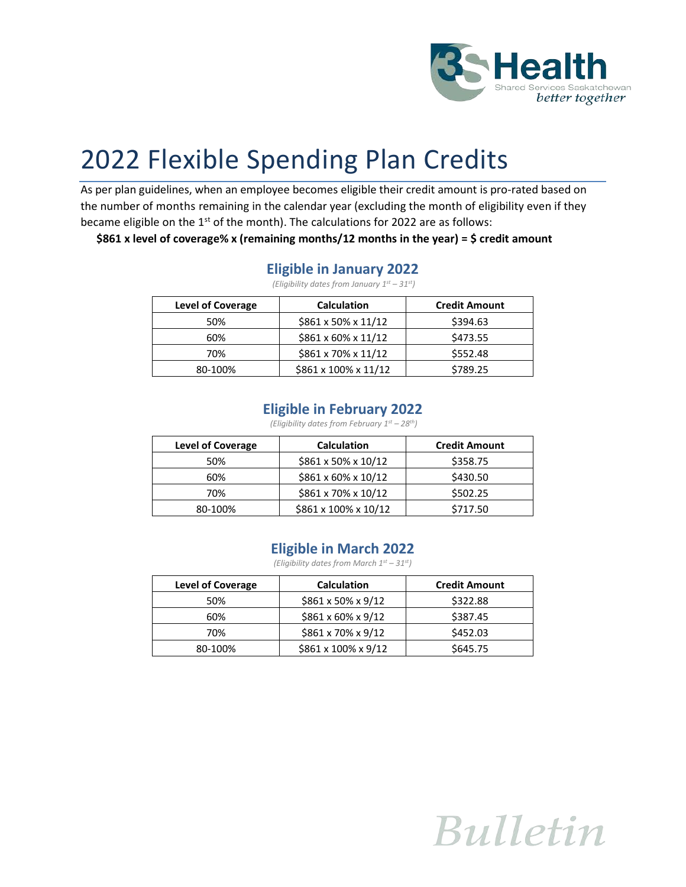

# 2022 Flexible Spending Plan Credits

As per plan guidelines, when an employee becomes eligible their credit amount is pro-rated based on the number of months remaining in the calendar year (excluding the month of eligibility even if they became eligible on the  $1<sup>st</sup>$  of the month). The calculations for 2022 are as follows:

**\$861 x level of coverage% x (remaining months/12 months in the year) = \$ credit amount**

#### **Eligible in January 2022**

*(Eligibility dates from January 1st – 31st)*

| <b>Level of Coverage</b> | <b>Calculation</b>               | <b>Credit Amount</b> |
|--------------------------|----------------------------------|----------------------|
| 50%                      | $$861 \times 50\% \times 11/12$  | \$394.63             |
| 60%                      | $$861 \times 60\% \times 11/12$  | \$473.55             |
| 70%                      | $$861 \times 70\% \times 11/12$  | \$552.48             |
| 80-100%                  | $$861 \times 100\% \times 11/12$ | \$789.25             |

#### **Eligible in February 2022**

*(Eligibility dates from February 1st – 28th)*

| <b>Level of Coverage</b> | <b>Calculation</b>              | <b>Credit Amount</b> |
|--------------------------|---------------------------------|----------------------|
| 50%                      | \$861 x 50% x 10/12             | \$358.75             |
| 60%                      | $$861 \times 60\% \times 10/12$ | \$430.50             |
| 70%                      | \$861 x 70% x 10/12             | \$502.25             |
| 80-100%                  | \$861 x 100% x 10/12            | \$717.50             |

#### **Eligible in March 2022**

*(Eligibility dates from March 1st – 31st)*

| <b>Level of Coverage</b> | <b>Calculation</b>             | <b>Credit Amount</b> |
|--------------------------|--------------------------------|----------------------|
| 50%                      | $$861 \times 50\% \times 9/12$ | \$322.88             |
| 60%                      | $$861 \times 60\% \times 9/12$ | \$387.45             |
| 70%                      | $$861 \times 70\% \times 9/12$ | \$452.03             |
| 80-100%                  | \$861 x 100% x 9/12            | \$645.75             |

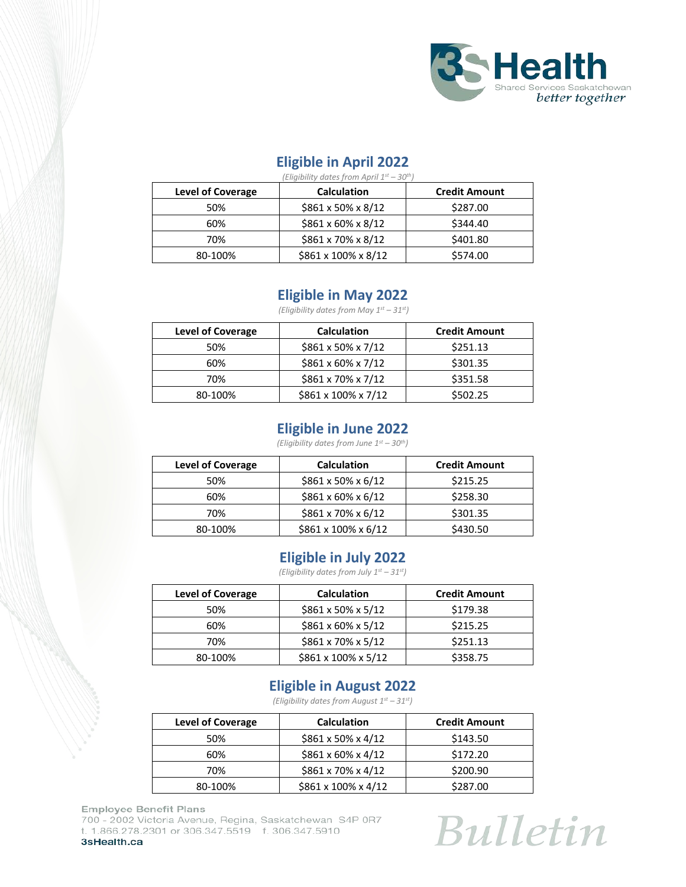

## **Eligible in April 2022**

| (Eligibility dates from April 1st - 30th) |                                |                      |  |
|-------------------------------------------|--------------------------------|----------------------|--|
| <b>Level of Coverage</b>                  | <b>Calculation</b>             | <b>Credit Amount</b> |  |
| 50%                                       | \$861 x 50% x 8/12             | \$287.00             |  |
| 60%                                       | $$861 \times 60\% \times 8/12$ | \$344.40             |  |
| 70%                                       | $$861 \times 70\% \times 8/12$ | \$401.80             |  |
| 80-100%                                   | \$861 x 100% x 8/12            | \$574.00             |  |

#### **Eligible in May 2022**

*(Eligibility dates from May 1st – 31st)*

| <b>Level of Coverage</b> | <b>Calculation</b>             | <b>Credit Amount</b> |
|--------------------------|--------------------------------|----------------------|
| 50%                      | $$861 \times 50\% \times 7/12$ | \$251.13             |
| 60%                      | \$861 x 60% x 7/12             | \$301.35             |
| 70%                      | \$861 x 70% x 7/12             | \$351.58             |
| 80-100%                  | \$861 x 100% x 7/12            | \$502.25             |

#### **Eligible in June 2022**

*(Eligibility dates from June 1st – 30th)*

| <b>Level of Coverage</b> | <b>Calculation</b>              | <b>Credit Amount</b> |
|--------------------------|---------------------------------|----------------------|
| 50%                      | $$861 \times 50\% \times 6/12$  | \$215.25             |
| 60%                      | $$861 \times 60\% \times 6/12$  | \$258.30             |
| 70%                      | $$861 \times 70\% \times 6/12$  | \$301.35             |
| 80-100%                  | $$861 \times 100\% \times 6/12$ | \$430.50             |

#### **Eligible in July 2022**

*(Eligibility dates from July 1st – 31st)*

| <b>Level of Coverage</b> | <b>Calculation</b>             | <b>Credit Amount</b> |
|--------------------------|--------------------------------|----------------------|
| 50%                      | $$861 \times 50\% \times 5/12$ | \$179.38             |
| 60%                      | $$861 \times 60\% \times 5/12$ | \$215.25             |
| 70%                      | $$861 \times 70\% \times 5/12$ | \$251.13             |
| 80-100%                  | \$861 x 100% x 5/12            | \$358.75             |

# **Eligible in August 2022**

*(Eligibility dates from August 1st – 31st)*

| <b>Level of Coverage</b> | <b>Calculation</b>              | <b>Credit Amount</b> |
|--------------------------|---------------------------------|----------------------|
| 50%                      | $$861 \times 50\% \times 4/12$  | \$143.50             |
| 60%                      | $$861 \times 60\% \times 4/12$  | \$172.20             |
| 70%                      | $$861 \times 70\% \times 4/12$  | \$200.90             |
| 80-100%                  | $$861 \times 100\% \times 4/12$ | \$287.00             |

**Employee Benefit Plans** 700 - 2002 Victoria Avenue, Regina, Saskatchewan S4P 0R7 t. 1.866.278.2301 or 306.347.5519 f. 306.347.5910 3sHealth.ca